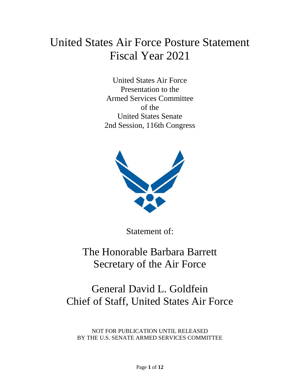# United States Air Force Posture Statement Fiscal Year 2021

United States Air Force Presentation to the Armed Services Committee of the United States Senate 2nd Session, 116th Congress



Statement of:

The Honorable Barbara Barrett Secretary of the Air Force

## General David L. Goldfein Chief of Staff, United States Air Force

NOT FOR PUBLICATION UNTIL RELEASED BY THE U.S. SENATE ARMED SERVICES COMMITTEE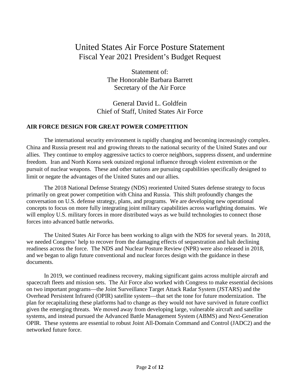### United States Air Force Posture Statement Fiscal Year 2021 President's Budget Request

Statement of: The Honorable Barbara Barrett Secretary of the Air Force

General David L. Goldfein Chief of Staff, United States Air Force

#### **AIR FORCE DESIGN FOR GREAT POWER COMPETITION**

The international security environment is rapidly changing and becoming increasingly complex. China and Russia present real and growing threats to the national security of the United States and our allies. They continue to employ aggressive tactics to coerce neighbors, suppress dissent, and undermine freedom. Iran and North Korea seek outsized regional influence through violent extremism or the pursuit of nuclear weapons. These and other nations are pursuing capabilities specifically designed to limit or negate the advantages of the United States and our allies.

The 2018 National Defense Strategy (NDS) reoriented United States defense strategy to focus primarily on great power competition with China and Russia. This shift profoundly changes the conversation on U.S. defense strategy, plans, and programs. We are developing new operational concepts to focus on more fully integrating joint military capabilities across warfighting domains. We will employ U.S. military forces in more distributed ways as we build technologies to connect those forces into advanced battle networks.

The United States Air Force has been working to align with the NDS for several years. In 2018, we needed Congress' help to recover from the damaging effects of sequestration and halt declining readiness across the force. The NDS and Nuclear Posture Review (NPR) were also released in 2018, and we began to align future conventional and nuclear forces design with the guidance in these documents.

In 2019, we continued readiness recovery, making significant gains across multiple aircraft and spacecraft fleets and mission sets. The Air Force also worked with Congress to make essential decisions on two important programs—the Joint Surveillance Target Attack Radar System (JSTARS) and the Overhead Persistent Infrared (OPIR) satellite system—that set the tone for future modernization. The plan for recapitalizing these platforms had to change as they would not have survived in future conflict given the emerging threats. We moved away from developing large, vulnerable aircraft and satellite systems, and instead pursued the Advanced Battle Management System (ABMS) and Next-Generation OPIR. These systems are essential to robust Joint All-Domain Command and Control (JADC2) and the networked future force.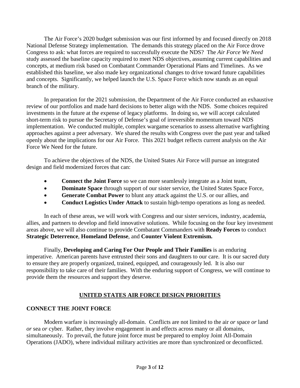The Air Force's 2020 budget submission was our first informed by and focused directly on 2018 National Defense Strategy implementation. The demands this strategy placed on the Air Force drove Congress to ask: what forces are required to successfully execute the NDS? The *Air Force We Need* study assessed the baseline capacity required to meet NDS objectives, assuming current capabilities and concepts, at medium risk based on Combatant Commander Operational Plans and Timelines. As we established this baseline, we also made key organizational changes to drive toward future capabilities and concepts. Significantly, we helped launch the U.S. Space Force which now stands as an equal branch of the military.

In preparation for the 2021 submission, the Department of the Air Force conducted an exhaustive review of our portfolios and made hard decisions to better align with the NDS. Some choices required investments in the future at the expense of legacy platforms. In doing so, we will accept calculated short-term risk to pursue the Secretary of Defense's goal of irreversible momentum toward NDS implementation. We conducted multiple, complex wargame scenarios to assess alternative warfighting approaches against a peer adversary. We shared the results with Congress over the past year and talked openly about the implications for our Air Force. This 2021 budget reflects current analysis on the Air Force We Need for the future.

To achieve the objectives of the NDS, the United States Air Force will pursue an integrated design and field modernized forces that can:

- **Connect the Joint Force** so we can more seamlessly integrate as a Joint team,
- **Dominate Space** through support of our sister service, the United States Space Force,
- **Generate Combat Power** to blunt any attack against the U.S. or our allies, and
- **Conduct Logistics Under Attack** to sustain high-tempo operations as long as needed.

In each of these areas, we will work with Congress and our sister services, industry, academia, allies, and partners to develop and field innovative solutions. While focusing on the four key investment areas above, we will also continue to provide Combatant Commanders with **Ready Forces** to conduct **Strategic Deterrence**, **Homeland Defense**, and **Counter Violent Extremism.**

Finally, **Developing and Caring For Our People and Their Families** is an enduring imperative. American parents have entrusted their sons and daughters to our care. It is our sacred duty to ensure they are properly organized, trained, equipped, and courageously led. It is also our responsibility to take care of their families. With the enduring support of Congress, we will continue to provide them the resources and support they deserve.

#### **UNITED STATES AIR FORCE DESIGN PRIORITIES**

#### **CONNECT THE JOINT FORCE**

Modern warfare is increasingly all-domain. Conflicts are not limited to the air *or* space *or* land *or* sea *or* cyber. Rather, they involve engagement in and effects across many or all domains, simultaneously. To prevail, the future joint force must be prepared to employ Joint All-Domain Operations (JADO), where individual military activities are more than synchronized or deconflicted.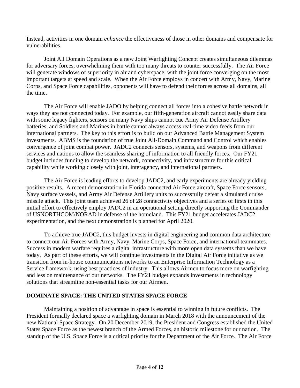Instead, activities in one domain *enhance* the effectiveness of those in other domains and compensate for vulnerabilities.

Joint All Domain Operations as a new Joint Warfighting Concept creates simultaneous dilemmas for adversary forces, overwhelming them with too many threats to counter successfully. The Air Force will generate windows of superiority in air and cyberspace, with the joint force converging on the most important targets at speed and scale. When the Air Force employs in concert with Army, Navy, Marine Corps, and Space Force capabilities, opponents will have to defend their forces across all domains, all the time.

The Air Force will enable JADO by helping connect all forces into a cohesive battle network in ways they are not connected today. For example, our fifth-generation aircraft cannot easily share data with some legacy fighters, sensors on many Navy ships cannot cue Army Air Defense Artillery batteries, and Soldiers and Marines in battle cannot always access real-time video feeds from our international partners. The key to this effort is to build on our Advanced Battle Management System investments. ABMS is the foundation of true Joint All-Domain Command and Control which enables convergence of joint combat power. JADC2 connects sensors, systems, and weapons from different services and nations to allow the seamless sharing of information to all friendly forces. Our FY21 budget includes funding to develop the network, connectivity, and infrastructure for this critical capability while working closely with joint, interagency, and international partners.

The Air Force is leading efforts to develop JADC2, and early experiments are already yielding positive results. A recent demonstration in Florida connected Air Force aircraft, Space Force sensors, Navy surface vessels, and Army Air Defense Artillery units to successfully defeat a simulated cruise missile attack. This joint team achieved 26 of 28 connectivity objectives and a series of firsts in this initial effort to effectively employ JADC2 in an operational setting directly supporting the Commander of USNORTHCOM/NORAD in defense of the homeland. This FY21 budget accelerates JADC2 experimentation, and the next demonstration is planned for April 2020.

To achieve true JADC2, this budget invests in digital engineering and common data architecture to connect our Air Forces with Army, Navy, Marine Corps, Space Force, and international teammates. Success in modern warfare requires a digital infrastructure with more open data systems than we have today. As part of these efforts, we will continue investments in the Digital Air Force initiative as we transition from in-house communications networks to an Enterprise Information Technology as a Service framework, using best practices of industry. This allows Airmen to focus more on warfighting and less on maintenance of our networks. The FY21 budget expands investments in technology solutions that streamline non-essential tasks for our Airmen.

#### **DOMINATE SPACE: THE UNITED STATES SPACE FORCE**

Maintaining a position of advantage in space is essential to winning in future conflicts. The President formally declared space a warfighting domain in March 2018 with the announcement of the new National Space Strategy. On 20 December 2019, the President and Congress established the United States Space Force as the newest branch of the Armed Forces, an historic milestone for our nation. The standup of the U.S. Space Force is a critical priority for the Department of the Air Force. The Air Force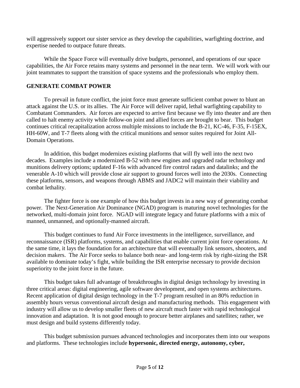will aggressively support our sister service as they develop the capabilities, warfighting doctrine, and expertise needed to outpace future threats.

While the Space Force will eventually drive budgets, personnel, and operations of our space capabilities, the Air Force retains many systems and personnel in the near term. We will work with our joint teammates to support the transition of space systems and the professionals who employ them.

#### **GENERATE COMBAT POWER**

To prevail in future conflict, the joint force must generate sufficient combat power to blunt an attack against the U.S. or its allies. The Air Force will deliver rapid, lethal warfighting capability to Combatant Commanders. Air forces are expected to arrive first because we fly into theater and are then called to halt enemy activity while follow-on joint and allied forces are brought to bear. This budget continues critical recapitalization across multiple missions to include the B-21, KC-46, F-35, F-15EX, HH-60W, and T-7 fleets along with the critical munitions and sensor suites required for Joint All-Domain Operations.

In addition, this budget modernizes existing platforms that will fly well into the next two decades. Examples include a modernized B-52 with new engines and upgraded radar technology and munitions delivery options; updated F-16s with advanced fire control radars and datalinks; and the venerable A-10 which will provide close air support to ground forces well into the 2030s. Connecting these platforms, sensors, and weapons through ABMS and JADC2 will maintain their viability and combat lethality.

The fighter force is one example of how this budget invests in a new way of generating combat power. The Next-Generation Air Dominance (NGAD) program is maturing novel technologies for the networked, multi-domain joint force. NGAD will integrate legacy and future platforms with a mix of manned, unmanned, and optionally-manned aircraft.

This budget continues to fund Air Force investments in the intelligence, surveillance, and reconnaissance (ISR) platforms, systems, and capabilities that enable current joint force operations. At the same time, it lays the foundation for an architecture that will eventually link sensors, shooters, and decision makers. The Air Force seeks to balance both near- and long-term risk by right-sizing the ISR available to dominate today's fight, while building the ISR enterprise necessary to provide decision superiority to the joint force in the future.

This budget takes full advantage of breakthroughs in digital design technology by investing in three critical areas: digital engineering, agile software development, and open systems architectures. Recent application of digital design technology in the T-7 program resulted in an 80% reduction in assembly hours versus conventional aircraft design and manufacturing methods. This engagement with industry will allow us to develop smaller fleets of new aircraft much faster with rapid technological innovation and adaptation. It is not good enough to procure better airplanes and satellites; rather, we must design and build systems differently today.

This budget submission pursues advanced technologies and incorporates them into our weapons and platforms. These technologies include **hypersonic, directed energy, autonomy, cyber,**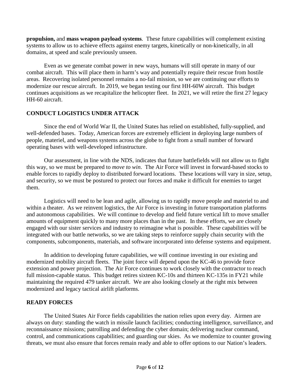**propulsion,** and **mass weapon payload systems**. These future capabilities will complement existing systems to allow us to achieve effects against enemy targets, kinetically or non-kinetically, in all domains, at speed and scale previously unseen.

Even as we generate combat power in new ways, humans will still operate in many of our combat aircraft. This will place them in harm's way and potentially require their rescue from hostile areas. Recovering isolated personnel remains a no-fail mission, so we are continuing our efforts to modernize our rescue aircraft. In 2019, we began testing our first HH-60W aircraft. This budget continues acquisitions as we recapitalize the helicopter fleet. In 2021, we will retire the first 27 legacy HH-60 aircraft.

#### **CONDUCT LOGISTICS UNDER ATTACK**

Since the end of World War II, the United States has relied on established, fully-supplied, and well-defended bases. Today, American forces are extremely efficient in deploying large numbers of people, materiel, and weapons systems across the globe to fight from a small number of forward operating bases with well-developed infrastructure.

Our assessment, in line with the NDS, indicates that future battlefields will not allow us to fight this way, so we must be prepared to *move to win*. The Air Force will invest in forward-based stocks to enable forces to rapidly deploy to distributed forward locations. These locations will vary in size, setup, and security, so we must be postured to protect our forces and make it difficult for enemies to target them.

Logistics will need to be lean and agile, allowing us to rapidly move people and materiel to and within a theater. As we reinvent logistics, the Air Force is investing in future transportation platforms and autonomous capabilities. We will continue to develop and field future vertical lift to move smaller amounts of equipment quickly to many more places than in the past. In these efforts, we are closely engaged with our sister services and industry to reimagine what is possible. These capabilities will be integrated with our battle networks, so we are taking steps to reinforce supply chain security with the components, subcomponents, materials, and software incorporated into defense systems and equipment.

In addition to developing future capabilities, we will continue investing in our existing and modernized mobility aircraft fleets. The joint force will depend upon the KC-46 to provide force extension and power projection. The Air Force continues to work closely with the contractor to reach full mission-capable status. This budget retires sixteen KC-10s and thirteen KC-135s in FY21 while maintaining the required 479 tanker aircraft. We are also looking closely at the right mix between modernized and legacy tactical airlift platforms.

#### **READY FORCES**

The United States Air Force fields capabilities the nation relies upon every day. Airmen are always on duty: standing the watch in missile launch facilities; conducting intelligence, surveillance, and reconnaissance missions; patrolling and defending the cyber domain; delivering nuclear command, control, and communications capabilities; and guarding our skies. As we modernize to counter growing threats, we must also ensure that forces remain ready and able to offer options to our Nation's leaders.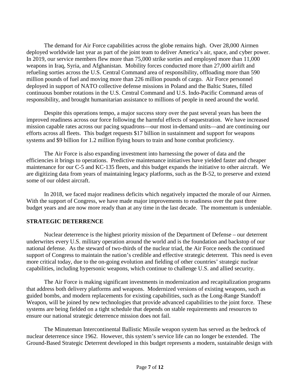The demand for Air Force capabilities across the globe remains high. Over 28,000 Airmen deployed worldwide last year as part of the joint team to deliver America's air, space, and cyber power. In 2019, our service members flew more than 75,000 strike sorties and employed more than 11,000 weapons in Iraq, Syria, and Afghanistan. Mobility forces conducted more than 27,000 airlift and refueling sorties across the U.S. Central Command area of responsibility, offloading more than 590 million pounds of fuel and moving more than 226 million pounds of cargo. Air Force personnel deployed in support of NATO collective defense missions in Poland and the Baltic States, filled continuous bomber rotations in the U.S. Central Command and U.S. Indo-Pacific Command areas of responsibility, and brought humanitarian assistance to millions of people in need around the world.

Despite this operations tempo, a major success story over the past several years has been the improved readiness across our force following the harmful effects of sequestration. We have increased mission capable rates across our pacing squadrons—our most in-demand units—and are continuing our efforts across all fleets. This budget requests \$17 billion in sustainment and support for weapons systems and \$9 billion for 1.2 million flying hours to train and hone combat proficiency.

The Air Force is also expanding investment into harnessing the power of data and the efficiencies it brings to operations. Predictive maintenance initiatives have yielded faster and cheaper maintenance for our C-5 and KC-135 fleets, and this budget expands the initiative to other aircraft. We are digitizing data from years of maintaining legacy platforms, such as the B-52, to preserve and extend some of our oldest aircraft.

In 2018, we faced major readiness deficits which negatively impacted the morale of our Airmen. With the support of Congress, we have made major improvements to readiness over the past three budget years and are now more ready than at any time in the last decade. The momentum is undeniable.

#### **STRATEGIC DETERRENCE**

Nuclear deterrence is the highest priority mission of the Department of Defense – our deterrent underwrites every U.S. military operation around the world and is the foundation and backstop of our national defense. As the steward of two-thirds of the nuclear triad, the Air Force needs the continued support of Congress to maintain the nation's credible and effective strategic deterrent. This need is even more critical today, due to the on-going evolution and fielding of other countries' strategic nuclear capabilities, including hypersonic weapons, which continue to challenge U.S. and allied security.

The Air Force is making significant investments in modernization and recapitalization programs that address both delivery platforms and weapons. Modernized versions of existing weapons, such as guided bombs, and modern replacements for existing capabilities, such as the Long-Range Standoff Weapon, will be joined by new technologies that provide advanced capabilities to the joint force. These systems are being fielded on a tight schedule that depends on stable requirements and resources to ensure our national strategic deterrence mission does not fail.

The Minuteman Intercontinental Ballistic Missile weapon system has served as the bedrock of nuclear deterrence since 1962. However, this system's service life can no longer be extended. The Ground-Based Strategic Deterrent developed in this budget represents a modern, sustainable design with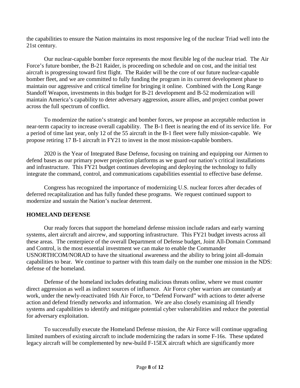the capabilities to ensure the Nation maintains its most responsive leg of the nuclear Triad well into the 21st century.

Our nuclear-capable bomber force represents the most flexible leg of the nuclear triad. The Air Force's future bomber, the B-21 Raider, is proceeding on schedule and on cost, and the initial test aircraft is progressing toward first flight. The Raider will be the core of our future nuclear-capable bomber fleet, and we are committed to fully funding the program in its current development phase to maintain our aggressive and critical timeline for bringing it online. Combined with the Long Range Standoff Weapon, investments in this budget for B-21 development and B-52 modernization will maintain America's capability to deter adversary aggression, assure allies, and project combat power across the full spectrum of conflict.

To modernize the nation's strategic and bomber forces, we propose an acceptable reduction in near-term capacity to increase overall capability. The B-1 fleet is nearing the end of its service life. For a period of time last year, only 12 of the 55 aircraft in the B-1 fleet were fully mission-capable. We propose retiring 17 B-1 aircraft in FY21 to invest in the most mission-capable bombers.

2020 is the Year of Integrated Base Defense, focusing on training and equipping our Airmen to defend bases as our primary power projection platforms as we guard our nation's critical installations and infrastructure. This FY21 budget continues developing and deploying the technology to fully integrate the command, control, and communications capabilities essential to effective base defense.

Congress has recognized the importance of modernizing U.S. nuclear forces after decades of deferred recapitalization and has fully funded these programs. We request continued support to modernize and sustain the Nation's nuclear deterrent.

#### **HOMELAND DEFENSE**

Our ready forces that support the homeland defense mission include radars and early warning systems, alert aircraft and aircrew, and supporting infrastructure. This FY21 budget invests across all these areas. The centerpiece of the overall Department of Defense budget, Joint All-Domain Command and Control, is the most essential investment we can make to enable the Commander USNORTHCOM/NORAD to have the situational awareness and the ability to bring joint all-domain capabilities to bear. We continue to partner with this team daily on the number one mission in the NDS: defense of the homeland.

Defense of the homeland includes defeating malicious threats online, where we must counter direct aggression as well as indirect sources of influence. Air Force cyber warriors are constantly at work, under the newly-reactivated 16th Air Force, to "Defend Forward" with actions to deter adverse action and defend friendly networks and information. We are also closely examining all friendly systems and capabilities to identify and mitigate potential cyber vulnerabilities and reduce the potential for adversary exploitation.

To successfully execute the Homeland Defense mission, the Air Force will continue upgrading limited numbers of existing aircraft to include modernizing the radars in some F-16s. These updated legacy aircraft will be complemented by new-build F-15EX aircraft which are significantly more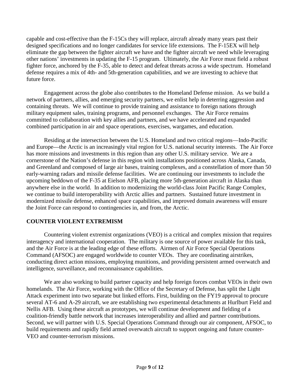capable and cost-effective than the F-15Cs they will replace, aircraft already many years past their designed specifications and no longer candidates for service life extensions. The F-15EX will help eliminate the gap between the fighter aircraft we have and the fighter aircraft we need while leveraging other nations' investments in updating the F-15 program. Ultimately, the Air Force must field a robust fighter force, anchored by the F-35, able to detect and defeat threats across a wide spectrum. Homeland defense requires a mix of 4th- and 5th-generation capabilities, and we are investing to achieve that future force.

Engagement across the globe also contributes to the Homeland Defense mission. As we build a network of partners, allies, and emerging security partners, we enlist help in deterring aggression and containing threats. We will continue to provide training and assistance to foreign nations through military equipment sales, training programs, and personnel exchanges. The Air Force remains committed to collaboration with key allies and partners, and we have accelerated and expanded combined participation in air and space operations, exercises, wargames, and education.

Residing at the intersection between the U.S. Homeland and two critical regions—Indo-Pacific and Europe—the Arctic is an increasingly vital region for U.S. national security interests. The Air Force has more missions and investments in this region than any other U.S. military service. We are a cornerstone of the Nation's defense in this region with installations positioned across Alaska, Canada, and Greenland and composed of large air bases, training complexes, and a constellation of more than 50 early-warning radars and missile defense facilities. We are continuing our investments to include the upcoming beddown of the F-35 at Eielson AFB, placing more 5th-generation aircraft in Alaska than anywhere else in the world. In addition to modernizing the world-class Joint Pacific Range Complex, we continue to build interoperability with Arctic allies and partners. Sustained future investment in modernized missile defense, enhanced space capabilities, and improved domain awareness will ensure the Joint Force can respond to contingencies in, and from, the Arctic.

#### **COUNTER VIOLENT EXTREMISM**

Countering violent extremist organizations (VEO) is a critical and complex mission that requires interagency and international cooperation. The military is one source of power available for this task, and the Air Force is at the leading edge of these efforts. Airmen of Air Force Special Operations Command (AFSOC) are engaged worldwide to counter VEOs. They are coordinating airstrikes, conducting direct action missions, employing munitions, and providing persistent armed overwatch and intelligence, surveillance, and reconnaissance capabilities.

We are also working to build partner capacity and help foreign forces combat VEOs in their own homelands. The Air Force, working with the Office of the Secretary of Defense, has split the Light Attack experiment into two separate but linked efforts. First, building on the FY19 approval to procure several AT-6 and A-29 aircraft, we are establishing two experimental detachments at Hurlburt Field and Nellis AFB. Using these aircraft as prototypes, we will continue development and fielding of a coalition-friendly battle network that increases interoperability and allied and partner contributions. Second, we will partner with U.S. Special Operations Command through our air component, AFSOC, to build requirements and rapidly field armed overwatch aircraft to support ongoing and future counter-VEO and counter-terrorism missions.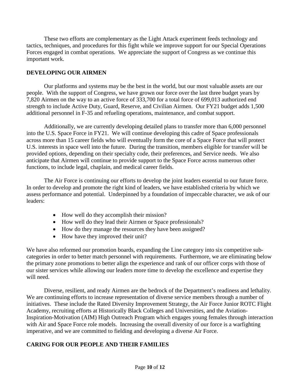These two efforts are complementary as the Light Attack experiment feeds technology and tactics, techniques, and procedures for this fight while we improve support for our Special Operations Forces engaged in combat operations. We appreciate the support of Congress as we continue this important work.

#### **DEVELOPING OUR AIRMEN**

Our platforms and systems may be the best in the world, but our most valuable assets are our people. With the support of Congress, we have grown our force over the last three budget years by 7,820 Airmen on the way to an active force of 333,700 for a total force of 699,013 authorized end strength to include Active Duty, Guard, Reserve, and Civilian Airmen. Our FY21 budget adds 1,500 additional personnel in F-35 and refueling operations, maintenance, and combat support.

Additionally, we are currently developing detailed plans to transfer more than 6,000 personnel into the U.S. Space Force in FY21. We will continue developing this cadre of Space professionals across more than 15 career fields who will eventually form the core of a Space Force that will protect U.S. interests in space well into the future. During the transition, members eligible for transfer will be provided options, depending on their specialty code, their preferences, and Service needs. We also anticipate that Airmen will continue to provide support to the Space Force across numerous other functions, to include legal, chaplain, and medical career fields.

The Air Force is continuing our efforts to develop the joint leaders essential to our future force. In order to develop and promote the right kind of leaders, we have established criteria by which we assess performance and potential. Underpinned by a foundation of impeccable character, we ask of our leaders:

- How well do they accomplish their mission?
- How well do they lead their Airmen or Space professionals?
- How do they manage the resources they have been assigned?
- How have they improved their unit?

We have also reformed our promotion boards, expanding the Line category into six competitive subcategories in order to better match personnel with requirements. Furthermore, we are eliminating below the primary zone promotions to better align the experience and rank of our officer corps with those of our sister services while allowing our leaders more time to develop the excellence and expertise they will need.

Diverse, resilient, and ready Airmen are the bedrock of the Department's readiness and lethality. We are continuing efforts to increase representation of diverse service members through a number of initiatives. These include the Rated Diversity Improvement Strategy, the Air Force Junior ROTC Flight Academy, recruiting efforts at Historically Black Colleges and Universities, and the Aviation-Inspiration-Motivation (AIM) High Outreach Program which engages young females through interaction with Air and Space Force role models. Increasing the overall diversity of our force is a warfighting imperative, and we are committed to fielding and developing a diverse Air Force.

#### **CARING FOR OUR PEOPLE AND THEIR FAMILIES**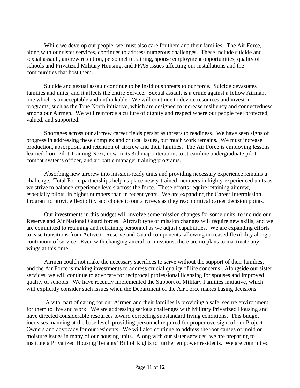While we develop our people, we must also care for them and their families. The Air Force, along with our sister services, continues to address numerous challenges. These include suicide and sexual assault, aircrew retention, personnel retraining, spouse employment opportunities, quality of schools and Privatized Military Housing, and PFAS issues affecting our installations and the communities that host them.

Suicide and sexual assault continue to be insidious threats to our force. Suicide devastates families and units, and it affects the entire Service. Sexual assault is a crime against a fellow Airman, one which is unacceptable and unthinkable. We will continue to devote resources and invest in programs, such as the True North initiative, which are designed to increase resiliency and connectedness among our Airmen. We will reinforce a culture of dignity and respect where our people feel protected, valued, and supported.

Shortages across our aircrew career fields persist as threats to readiness. We have seen signs of progress in addressing these complex and critical issues, but much work remains. We must increase production, absorption, and retention of aircrew and their families. The Air Force is employing lessons learned from Pilot Training Next, now in its 3rd major iteration, to streamline undergraduate pilot, combat systems officer, and air battle manager training programs.

Absorbing new aircrew into mission-ready units and providing necessary experience remains a challenge. Total Force partnerships help us place newly-trained members in highly-experienced units as we strive to balance experience levels across the force. These efforts require retaining aircrew, especially pilots, in higher numbers than in recent years. We are expanding the Career Intermission Program to provide flexibility and choice to our aircrews as they reach critical career decision points.

Our investments in this budget will involve some mission changes for some units, to include our Reserve and Air National Guard forces. Aircraft type or mission changes will require new skills, and we are committed to retaining and retraining personnel as we adjust capabilities. We are expanding efforts to ease transitions from Active to Reserve and Guard components, allowing increased flexibility along a continuum of service. Even with changing aircraft or missions, there are no plans to inactivate any wings at this time.

Airmen could not make the necessary sacrifices to serve without the support of their families, and the Air Force is making investments to address crucial quality of life concerns. Alongside our sister services, we will continue to advocate for reciprocal professional licensing for spouses and improved quality of schools. We have recently implemented the Support of Military Families initiative, which will explicitly consider such issues when the Department of the Air Force makes basing decisions.

A vital part of caring for our Airmen and their families is providing a safe, secure environment for them to live and work. We are addressing serious challenges with Military Privatized Housing and have directed considerable resources toward correcting substandard living conditions. This budget increases manning at the base level, providing personnel required for proper oversight of our Project Owners and advocacy for our residents. We will also continue to address the root causes of mold or moisture issues in many of our housing units. Along with our sister services, we are preparing to institute a Privatized Housing Tenants' Bill of Rights to further empower residents. We are committed